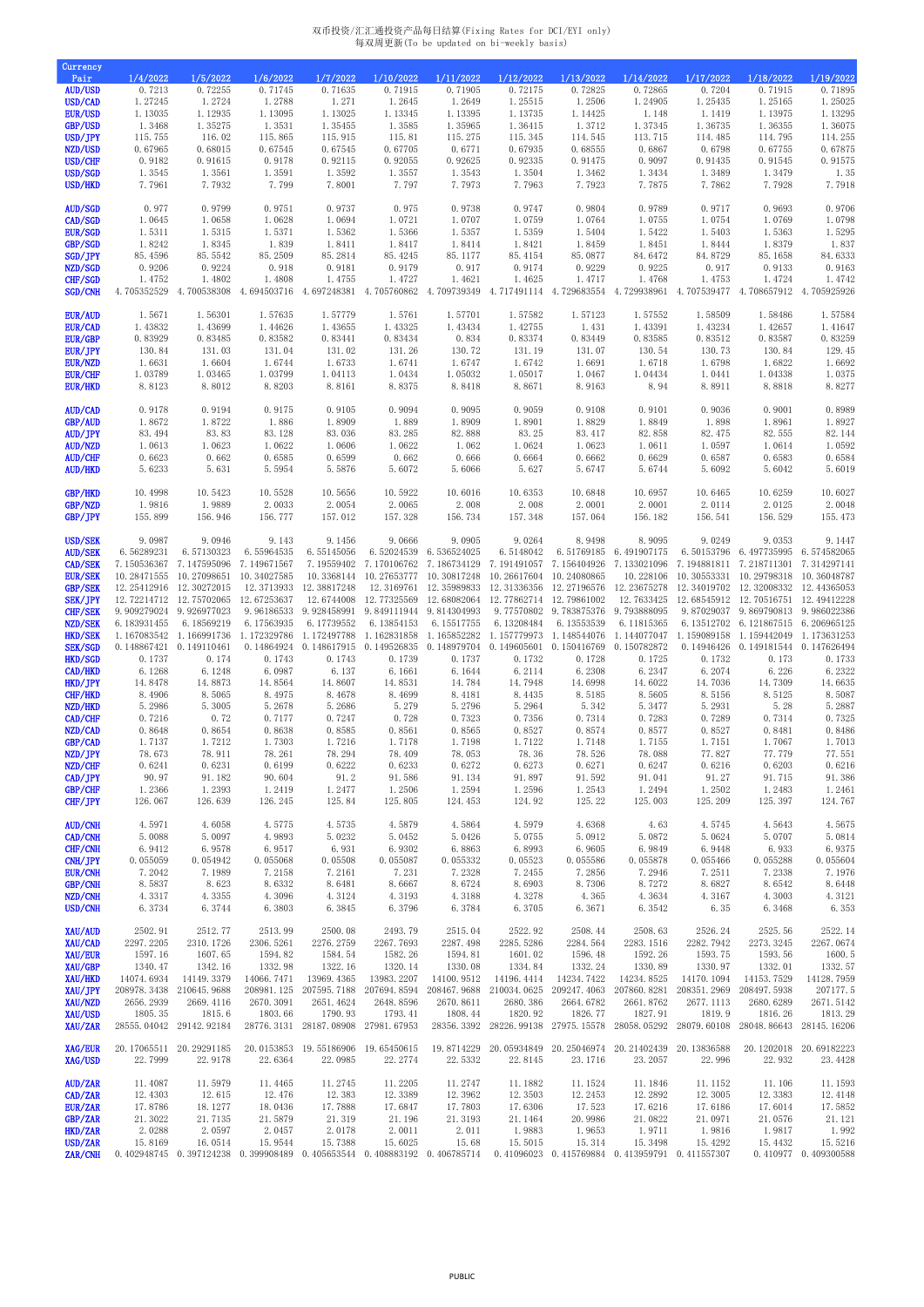## 双币投资/汇汇通投资产品每日结算(Fixing Rates for DCI/EYI only) 每双周更新(To be updated on bi-weekly basis)

| Currency                         |                           |                                        |                           |                           |                                                                                                                                              |                        |                                                 |                                                 |                                                |                                                    |                                               |                            |
|----------------------------------|---------------------------|----------------------------------------|---------------------------|---------------------------|----------------------------------------------------------------------------------------------------------------------------------------------|------------------------|-------------------------------------------------|-------------------------------------------------|------------------------------------------------|----------------------------------------------------|-----------------------------------------------|----------------------------|
| Pair<br><b>AUD/USD</b>           | 1/4/2022<br>0.7213        | 1/5/2022<br>0.72255                    | 1/6/2022<br>0.71745       | 1/7/2022<br>0.71635       | 1/10/2022<br>0.71915                                                                                                                         | 1/11/2022<br>0.71905   | 1/12/2022<br>0.72175                            | 1/13/2022<br>0.72825                            | 1/14/2022<br>0.72865                           | 1/17/2022<br>0.7204                                | 1/18/2022<br>0.71915                          | 1/19/2022<br>0.71895       |
| USD/CAD                          | 1.27245                   | 1.2724                                 | 1.2788                    | 1.271                     | 1.2645                                                                                                                                       | 1.2649                 | 1.25515                                         | 1.2506                                          | 1.24905                                        | 1.25435                                            | 1.25165                                       | 1.25025                    |
| <b>EUR/USD</b>                   | 1.13035                   | 1.12935                                | 1.13095                   | 1.13025                   | 1.13345                                                                                                                                      | 1.13395                | 1.13735                                         | 1.14425                                         | 1.148                                          | 1.1419                                             | 1.13975                                       | 1.13295                    |
| GBP/USD                          | 1.3468                    | 1.35275                                | 1.3531                    | 1.35455                   | 1.3585                                                                                                                                       | 1.35965                | 1.36415                                         | 1.3712                                          | 1.37345                                        | 1.36735                                            | 1.36355                                       | 1.36075                    |
| USD/JPY<br>NZD/USD               | 115.755<br>0.67965        | 116.02<br>0.68015                      | 115.865<br>0.67545        | 115.915<br>0.67545        | 115.81<br>0.67705                                                                                                                            | 115.275<br>0.6771      | 115.345<br>0.67935                              | 114.545<br>0.68555                              | 113.715<br>0.6867                              | 114.485<br>0.6798                                  | 114.795<br>0.67755                            | 114.255<br>0.67875         |
| USD/CHF                          | 0.9182                    | 0.91615                                | 0.9178                    | 0.92115                   | 0.92055                                                                                                                                      | 0.92625                | 0.92335                                         | 0.91475                                         | 0.9097                                         | 0.91435                                            | 0.91545                                       | 0.91575                    |
| USD/SGD                          | 1.3545                    | 1.3561                                 | 1.3591                    | 1.3592                    | 1.3557                                                                                                                                       | 1.3543                 | 1.3504                                          | 1.3462                                          | 1.3434                                         | 1.3489                                             | 1.3479                                        | 1.35                       |
| USD/HKD                          | 7.7961                    | 7.7932                                 | 7.799                     | 7.8001                    | 7.797                                                                                                                                        | 7.7973                 | 7.7963                                          | 7.7923                                          | 7.7875                                         | 7.7862                                             | 7.7928                                        | 7.7918                     |
| <b>AUD/SGD</b>                   | 0.977                     | 0.9799                                 | 0.9751                    | 0.9737                    | 0.975                                                                                                                                        | 0.9738                 | 0.9747                                          | 0.9804                                          | 0.9789                                         | 0.9717                                             | 0.9693                                        | 0.9706                     |
| CAD/SGD                          | 1.0645                    | 1.0658                                 | 1.0628                    | 1.0694                    | 1.0721                                                                                                                                       | 1.0707                 | 1.0759                                          | 1.0764                                          | 1.0755                                         | 1.0754                                             | 1.0769                                        | 1.0798                     |
| <b>EUR/SGD</b>                   | 1.5311                    | 1.5315                                 | 1.5371                    | 1.5362                    | 1.5366                                                                                                                                       | 1.5357                 | 1.5359                                          | 1.5404                                          | 1.5422                                         | 1.5403                                             | 1.5363                                        | 1.5295                     |
| GBP/SGD                          | 1.8242                    | 1.8345                                 | 1.839                     | 1.8411                    | 1.8417                                                                                                                                       | 1.8414                 | 1.8421                                          | 1.8459                                          | 1.8451                                         | 1.8444                                             | 1.8379                                        | 1.837                      |
| SGD/JPY<br>NZD/SGD               | 85.4596<br>0.9206         | 85.5542<br>0.9224                      | 85.2509<br>0.918          | 85.2814<br>0.9181         | 85.4245<br>0.9179                                                                                                                            | 85.1177<br>0.917       | 85.4154<br>0.9174                               | 85.0877<br>0.9229                               | 84.6472<br>0.9225                              | 84.8729<br>0.917                                   | 85.1658<br>0.9133                             | 84.6333<br>0.9163          |
| CHF/SGD                          | 1.4752                    | 1.4802                                 | 1.4808                    | 1.4755                    | 1.4727                                                                                                                                       | 1.4621                 | 1.4625                                          | 1.4717                                          | 1.4768                                         | 1.4753                                             | 1.4724                                        | 1.4742                     |
| SGD/CNH                          | 4.705352529               | 4.700538308                            | 4.694503716               | 4.697248381               | 4.705760862                                                                                                                                  |                        |                                                 | 4.709739349 4.717491114 4.729683554 4.729938961 |                                                |                                                    | 4.707539477 4.708657912 4.705925926           |                            |
| <b>EUR/AUD</b>                   |                           | 1.56301                                | 1.57635                   | 1.57779                   |                                                                                                                                              | 1.57701                | 1.57582                                         | 1.57123                                         | 1.57552                                        | 1.58509                                            |                                               |                            |
| EUR/CAD                          | 1.5671<br>1.43832         | 1.43699                                | 1.44626                   | 1.43655                   | 1.5761<br>1.43325                                                                                                                            | 1.43434                | 1.42755                                         | 1.431                                           | 1.43391                                        | 1.43234                                            | 1.58486<br>1.42657                            | 1.57584<br>1.41647         |
| EUR/GBP                          | 0.83929                   | 0.83485                                | 0.83582                   | 0.83441                   | 0.83434                                                                                                                                      | 0.834                  | 0.83374                                         | 0.83449                                         | 0.83585                                        | 0.83512                                            | 0.83587                                       | 0.83259                    |
| EUR/JPY                          | 130.84                    | 131.03                                 | 131.04                    | 131.02                    | 131.26                                                                                                                                       | 130.72                 | 131.19                                          | 131.07                                          | 130.54                                         | 130.73                                             | 130.84                                        | 129.45                     |
| <b>EUR/NZD</b>                   | 1.6631                    | 1.6604                                 | 1.6744                    | 1.6733                    | 1.6741                                                                                                                                       | 1.6747                 | 1.6742                                          | 1.6691                                          | 1.6718                                         | 1.6798                                             | 1.6822                                        | 1.6692                     |
| <b>EUR/CHF</b><br><b>EUR/HKD</b> | 1.03789<br>8.8123         | 1.03465<br>8.8012                      | 1.03799<br>8.8203         | 1.04113<br>8.8161         | 1.0434<br>8.8375                                                                                                                             | 1.05032<br>8.8418      | 1.05017<br>8.8671                               | 1.0467<br>8.9163                                | 1.04434<br>8.94                                | 1.0441<br>8.8911                                   | 1.04338<br>8.8818                             | 1.0375<br>8.8277           |
|                                  |                           |                                        |                           |                           |                                                                                                                                              |                        |                                                 |                                                 |                                                |                                                    |                                               |                            |
| AUD/CAD                          | 0.9178                    | 0.9194                                 | 0.9175                    | 0.9105                    | 0.9094                                                                                                                                       | 0.9095                 | 0.9059                                          | 0.9108                                          | 0.9101                                         | 0.9036                                             | 0.9001                                        | 0.8989                     |
| GBP/AUD<br>AUD/JPY               | 1.8672<br>83.494          | 1.8722<br>83.83                        | 1.886<br>83.128           | 1.8909<br>83.036          | 1.889<br>83.285                                                                                                                              | 1.8909<br>82.888       | 1.8901<br>83.25                                 | 1.8829<br>83.417                                | 1.8849<br>82.858                               | 1.898<br>82.475                                    | 1.8961<br>82.555                              | 1.8927<br>82.144           |
| <b>AUD/NZD</b>                   | 1.0613                    | 1.0623                                 | 1.0622                    | 1.0606                    | 1.0622                                                                                                                                       | 1.062                  | 1.0624                                          | 1.0623                                          | 1.0611                                         | 1.0597                                             | 1.0614                                        | 1.0592                     |
| <b>AUD/CHF</b>                   | 0.6623                    | 0.662                                  | 0.6585                    | 0.6599                    | 0.662                                                                                                                                        | 0.666                  | 0.6664                                          | 0.6662                                          | 0.6629                                         | 0.6587                                             | 0.6583                                        | 0.6584                     |
| <b>AUD/HKD</b>                   | 5.6233                    | 5.631                                  | 5.5954                    | 5.5876                    | 5.6072                                                                                                                                       | 5.6066                 | 5.627                                           | 5.6747                                          | 5.6744                                         | 5.6092                                             | 5.6042                                        | 5.6019                     |
| <b>GBP/HKD</b>                   | 10.4998                   | 10.5423                                | 10.5528                   | 10.5656                   | 10.5922                                                                                                                                      | 10.6016                | 10.6353                                         | 10.6848                                         | 10.6957                                        | 10.6465                                            | 10.6259                                       | 10.6027                    |
| GBP/NZD                          | 1.9816                    | 1.9889                                 | 2.0033                    | 2.0054                    | 2.0065                                                                                                                                       | 2.008                  | 2.008                                           | 2.0001                                          | 2.0001                                         | 2.0114                                             | 2.0125                                        | 2.0048                     |
| GBP/JPY                          | 155.899                   | 156.946                                | 156.777                   | 157.012                   | 157.328                                                                                                                                      | 156.734                | 157.348                                         | 157.064                                         | 156.182                                        | 156.541                                            | 156.529                                       | 155.473                    |
| <b>USD/SEK</b>                   | 9.0987                    | 9.0946                                 | 9.143                     | 9.1456                    | 9.0666                                                                                                                                       | 9.0905                 | 9.0264                                          | 8.9498                                          | 8.9095                                         | 9.0249                                             | 9.0353                                        | 9.1447                     |
| <b>AUD/SEK</b>                   | 6.56289231                | 6.57130323                             |                           | 6.55964535 6.55145056     |                                                                                                                                              | 6.52024539 6.536524025 |                                                 |                                                 | 6.5148042 6.51769185 6.491907175               |                                                    | 6.50153796 6.497735995 6.574582065            |                            |
| <b>CAD/SEK</b>                   |                           | 7.150536367 7.147595096 7.149671567    |                           |                           | 7.19559402 7.170106762 7.186734129 7.191491057 7.156404926 7.133021096                                                                       |                        |                                                 |                                                 |                                                | 7.194881811 7.218711301 7.314297141                |                                               |                            |
| <b>EUR/SEK</b>                   | 10.28471555               | 10.27098651                            | 10.34027585               |                           | 10.3368144 10.27653777                                                                                                                       | 10.30817248            | 10.26617604 10.24080865                         |                                                 | 10.228106                                      |                                                    | 10.30553331 10.29798318                       | 10.36048787                |
| GBP/SEK<br><b>SEK/JPY</b>        | 12.25412916               | 12.30272015<br>12.72214712 12.75702065 | 12.3713933<br>12.67253637 | 12.38817248<br>12.6744008 | 12.3169761<br>12.77325569                                                                                                                    | 12.68082064            | 12.77862714 12.79861002                         | 12.35989833 12.31336356 12.27196576             | 12.23675278<br>12.7633425                      | 12.34019702 12.32008332<br>12.68545912 12.70516751 |                                               | 12.44365053<br>12.49412228 |
| CHF/SEK                          | 9.909279024 9.926977023   |                                        | 9.96186533                | 9.928458991               | 9.849111944 9.814304993                                                                                                                      |                        |                                                 | 9.77570802 9.783875376                          | 9.793888095                                    |                                                    | 9.87029037 9.869790813 9.986022386            |                            |
| NZD/SEK                          | 6.183931455               | 6.18569219                             | 6.17563935                | 6.17739552                | 6.13854153                                                                                                                                   | 6.15517755             | 6.13208484                                      | 6.13553539                                      | 6.11815365                                     |                                                    | 6.13512702 6.121867515 6.206965125            |                            |
| <b>HKD/SEK</b>                   |                           | 1.167083542 1.166991736                | 1.172329786               | 1.172497788               | 1.162831858                                                                                                                                  | 1.165852282            |                                                 | 1.157779973 1.148544076                         | 1.144077047                                    |                                                    | 1.159089158 1.159442049                       | 1.173631253                |
| <b>SEK/SGD</b><br>HKD/SGD        | 0.148867421<br>0.1737     | 0.149110461<br>0.174                   | 0.14864924<br>0.1743      | 0.1743                    | 0.148617915 0.149526835<br>0.1739                                                                                                            | 0.1737                 | 0.148979704  0.149605601  0.150416769<br>0.1732 | 0.1728                                          | 0.150782872<br>0.1725                          | 0.1732                                             | 0.14946426  0.149181544  0.147626494<br>0.173 | 0.1733                     |
| CAD/HKD                          | 6.1268                    | 6.1248                                 | 6.0987                    | 6.137                     | 6.1661                                                                                                                                       | 6.1644                 | 6.2114                                          | 6.2308                                          | 6.2347                                         | 6.2074                                             | 6.226                                         | 6.2322                     |
| HKD/JPY                          | 14.8478                   | 14.8873                                | 14.8564                   | 14.8607                   | 14.8531                                                                                                                                      | 14.784                 | 14.7948                                         | 14.6998                                         | 14.6022                                        | 14.7036                                            | 14.7309                                       | 14.6635                    |
| CHF/HKD                          | 8.4906                    | 8.5065                                 | 8.4975                    | 8.4678                    | 8.4699                                                                                                                                       | 8.4181                 | 8.4435                                          | 8.5185                                          | 8.5605                                         | 8.5156                                             | 8.5125                                        | 8.5087                     |
| NZD/HKD<br>CAD/CHF               | 5.2986<br>0.7216          | 5.3005<br>0.72                         | 5.2678<br>0.7177          | 5.2686<br>0.7247          | 5.279<br>0.728                                                                                                                               | 5.2796<br>0.7323       | 5.2964<br>0.7356                                | 5.342<br>0.7314                                 | 5.3477<br>0.7283                               | 5.2931<br>0.7289                                   | 5.28<br>0.7314                                | 5.2887<br>0.7325           |
| NZD/CAD                          | 0.8648                    | 0.8654                                 | 0.8638                    | 0.8585                    | 0.8561                                                                                                                                       | 0.8565                 | 0.8527                                          | 0.8574                                          | 0.8577                                         | 0.8527                                             | 0.8481                                        | 0.8486                     |
| GBP/CAD                          | 1.7137                    | 1.7212                                 | 1.7303                    | 1.7216                    | 1.7178                                                                                                                                       | 1.7198                 | 1.7122                                          | 1.7148                                          | 1.7155                                         | 1.7151                                             | 1.7067                                        | 1.7013                     |
| NZD/JPY                          | 78.673                    | 78.911                                 | 78.261                    | 78.294                    | 78.409                                                                                                                                       | 78.053                 | 78.36                                           | 78.526                                          | 78.088                                         | 77.827                                             | 77.779                                        | 77.551                     |
| NZD/CHF<br>CAD/JPY               | 0.6241<br>90.97           | 0.6231<br>91.182                       | 0.6199<br>90.604          | 0.6222<br>91.2            | 0.6233<br>91.586                                                                                                                             | 0.6272<br>91.134       | 0.6273<br>91.897                                | 0.6271<br>91.592                                | 0.6247<br>91.041                               | 0.6216<br>91.27                                    | 0.6203<br>91.715                              | 0.6216<br>91.386           |
| GBP/CHF                          | 1.2366                    | 1.2393                                 | 1.2419                    | 1.2477                    | 1.2506                                                                                                                                       | 1.2594                 | 1.2596                                          | 1.2543                                          | 1.2494                                         | 1.2502                                             | 1.2483                                        | 1.2461                     |
| CHF/JPY                          | 126.067                   | 126.639                                | 126.245                   | 125.84                    | 125.805                                                                                                                                      | 124.453                | 124.92                                          | 125.22                                          | 125.003                                        | 125.209                                            | 125.397                                       | 124.767                    |
| <b>AUD/CNH</b>                   | 4.5971                    | 4.6058                                 | 4.5775                    | 4.5735                    | 4.5879                                                                                                                                       | 4.5864                 | 4.5979                                          | 4.6368                                          | 4.63                                           | 4.5745                                             | 4.5643                                        | 4.5675                     |
| CAD/CNH                          | 5.0088                    | 5.0097                                 | 4.9893                    | 5.0232                    | 5.0452                                                                                                                                       | 5.0426                 | 5.0755                                          | 5.0912                                          | 5.0872                                         | 5.0624                                             | 5.0707                                        | 5.0814                     |
| CHF/CNH                          | 6.9412                    | 6.9578                                 | 6.9517                    | 6.931                     | 6.9302                                                                                                                                       | 6.8863                 | 6.8993                                          | 6.9605                                          | 6.9849                                         | 6.9448                                             | 6.933                                         | 6.9375                     |
| CNH/JPY                          | 0.055059                  | 0.054942                               | 0.055068                  | 0.05508                   | 0.055087                                                                                                                                     | 0.055332               | 0.05523                                         | 0.055586                                        | 0.055878                                       | 0.055466                                           | 0.055288                                      | 0.055604                   |
| <b>EUR/CNH</b><br>GBP/CNH        | 7.2042<br>8.5837          | 7.1989<br>8.623                        | 7.2158<br>8.6332          | 7.2161<br>8.6481          | 7.231<br>8.6667                                                                                                                              | 7.2328<br>8.6724       | 7.2455<br>8.6903                                | 7.2856<br>8.7306                                | 7.2946<br>8.7272                               | 7.2511<br>8.6827                                   | 7.2338<br>8.6542                              | 7.1976<br>8.6448           |
| NZD/CNH                          | 4.3317                    | 4.3355                                 | 4.3096                    | 4.3124                    | 4.3193                                                                                                                                       | 4.3188                 | 4.3278                                          | 4.365                                           | 4.3634                                         | 4.3167                                             | 4.3003                                        | 4.3121                     |
| USD/CNH                          | 6.3734                    | 6.3744                                 | 6.3803                    | 6.3845                    | 6.3796                                                                                                                                       | 6.3784                 | 6.3705                                          | 6.3671                                          | 6.3542                                         | 6.35                                               | 6.3468                                        | 6.353                      |
| XAU/AUD                          | 2502.91                   | 2512.77                                | 2513.99                   | 2500.08                   | 2493.79                                                                                                                                      | 2515.04                | 2522.92                                         | 2508.44                                         | 2508.63                                        | 2526.24                                            | 2525.56                                       | 2522.14                    |
| XAU/CAD                          | 2297.2205                 | 2310.1726                              | 2306.5261                 | 2276.2759                 | 2267.7693                                                                                                                                    | 2287.498               | 2285.5286                                       | 2284.564                                        | 2283.1516                                      | 2282.7942                                          | 2273.3245                                     | 2267.0674                  |
| XAU/EUR                          | 1597.16                   | 1607.65                                | 1594.82                   | 1584.54                   | 1582.26                                                                                                                                      | 1594.81                | 1601.02                                         | 1596.48                                         | 1592.26                                        | 1593.75                                            | 1593.56                                       | 1600.5                     |
| XAU/GBP                          | 1340.47                   | 1342.16                                | 1332.98                   | 1322.16                   | 1320.14                                                                                                                                      | 1330.08                | 1334.84                                         | 1332.24                                         | 1330.89                                        | 1330.97                                            | 1332.01                                       | 1332.57                    |
| XAU/HKD<br>XAU/JPY               | 14074.6934<br>208978.3438 | 14149.3379<br>210645.9688              | 14066.7471<br>208981.125  | 13969.4365<br>207595.7188 | 13983.2207<br>207694.8594                                                                                                                    | 14100.9512             | 14196.4414<br>208467.9688 210034.0625           | 14234.7422<br>209247.4063                       | 14234.8525<br>207860.8281                      | 14170.1094<br>208351.2969                          | 14153.7529<br>208497.5938                     | 14128.7959<br>207177.5     |
| XAU/NZD                          | 2656.2939                 | 2669.4116                              | 2670.3091                 | 2651.4624                 | 2648.8596                                                                                                                                    | 2670.8611              | 2680.386                                        | 2664.6782                                       | 2661.8762                                      | 2677.1113                                          | 2680.6289                                     | 2671.5142                  |
| XAU/USD                          | 1805.35                   | 1815.6                                 | 1803.66                   | 1790.93                   | 1793.41                                                                                                                                      | 1808.44                | 1820.92                                         | 1826.77                                         | 1827.91                                        | 1819.9                                             | 1816.26                                       | 1813.29                    |
| XAU/ZAR                          | 28555.04042               | 29142.92184                            | 28776.3131                | 28187.08908               | 27981.67953                                                                                                                                  | 28356.3392             | 28226.99138                                     | 27975.15578                                     | 28058.05292                                    | 28079.60108                                        | 28048.86643                                   | 28145.16206                |
| XAG/EUR                          |                           |                                        |                           |                           | 20.17065511 20.29291185 20.0153853 19.55186906 19.65450615 19.8714229 20.05934849 20.25046974 20.21402439 20.13836588 20.1202018 20.69182223 |                        |                                                 |                                                 |                                                |                                                    |                                               |                            |
| XAG/USD                          | 22.7999                   | 22.9178                                | 22.6364                   | 22.0985                   | 22.2774                                                                                                                                      | 22.5332                | 22.8145                                         | 23.1716                                         | 23.2057                                        | 22.996                                             | 22.932                                        | 23.4428                    |
| AUD/ZAR                          | 11.4087                   | 11.5979                                | 11.4465                   | 11.2745                   | 11.2205                                                                                                                                      | 11.2747                | 11.1882                                         | 11.1524                                         | 11.1846                                        | 11.1152                                            | 11.106                                        | 11.1593                    |
| CAD/ZAR                          | 12.4303                   | 12.615                                 | 12.476                    | 12.383                    | 12.3389                                                                                                                                      | 12.3962                | 12.3503                                         | 12.2453                                         | 12.2892                                        | 12.3005                                            | 12.3383                                       | 12.4148                    |
| EUR/ZAR                          | 17.8786                   | 18.1277                                | 18.0436                   | 17.7888                   | 17.6847                                                                                                                                      | 17.7803                | 17.6306                                         | 17.523                                          | 17.6216                                        | 17.6186                                            | 17.6014                                       | 17.5852                    |
| GBP/ZAR<br>HKD/ZAR               | 21.3022<br>2.0288         | 21.7135<br>2.0597                      | 21.5879<br>2.0457         | 21.319<br>2.0178          | 21.196<br>2.0011                                                                                                                             | 21.3193<br>2.011       | 21.1464<br>1.9883                               | 20.9986<br>1.9653                               | 21.0822<br>1.9711                              | 21.0971<br>1.9816                                  | 21.0576<br>1.9817                             | 21.121<br>1.992            |
| USD/ZAR                          | 15.8169                   | 16.0514                                | 15.9544                   | 15.7388                   | 15.6025                                                                                                                                      | 15.68                  | 15.5015                                         | 15.314                                          | 15.3498                                        | 15.4292                                            | 15.4432                                       | 15.5216                    |
| ZAR/CNH                          |                           | 0.402948745  0.397124238  0.399908489  |                           |                           | 0.405653544  0.408883192  0.406785714                                                                                                        |                        |                                                 |                                                 | 0.41096023 0.415769884 0.413959791 0.411557307 |                                                    |                                               | 0.410977 0.409300588       |